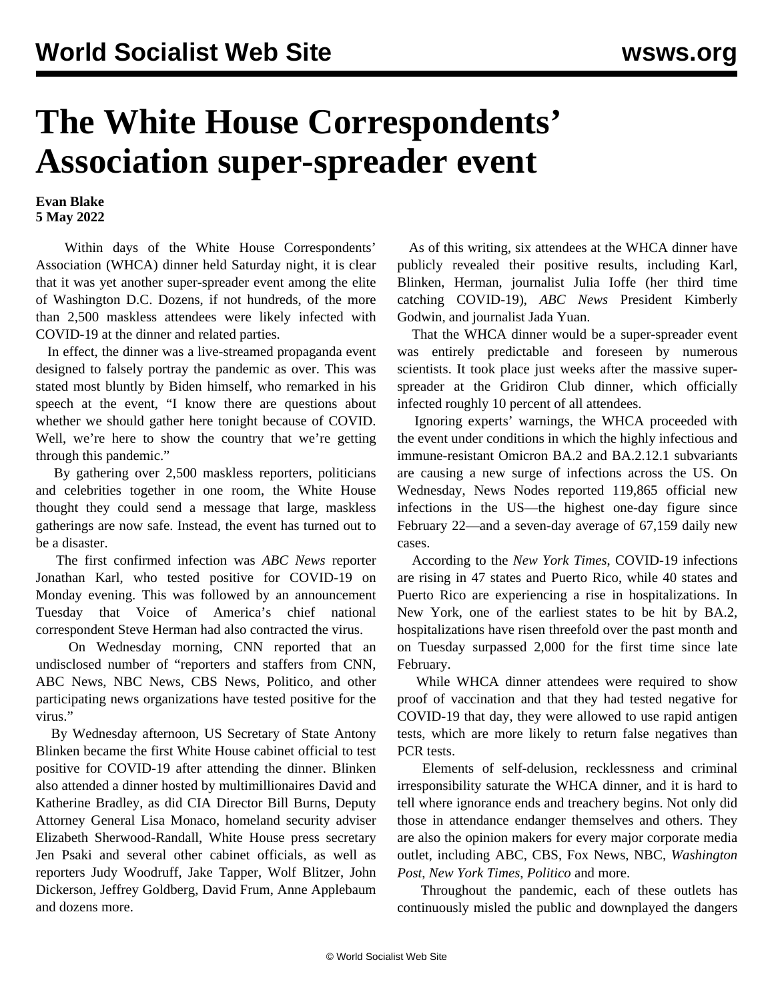## **The White House Correspondents' Association super-spreader event**

## **Evan Blake 5 May 2022**

 Within days of the White House Correspondents' Association (WHCA) dinner held Saturday night, it is clear that it was yet another super-spreader event among the elite of Washington D.C. Dozens, if not hundreds, of the more than 2,500 maskless attendees were likely infected with COVID-19 at the dinner and related parties.

 In effect, the dinner was a live-streamed propaganda event designed to falsely portray the pandemic as over. This was stated most bluntly by Biden himself, who remarked in his speech at the event, "I know there are questions about whether we should gather here tonight because of COVID. Well, we're here to show the country that we're getting through this pandemic."

 By gathering over 2,500 maskless reporters, politicians and celebrities together in one room, the White House thought they could send a message that large, maskless gatherings are now safe. Instead, the event has turned out to be a disaster.

 The first confirmed infection was *ABC News* reporter Jonathan Karl, who tested positive for COVID-19 on Monday evening. This was followed by an announcement Tuesday that Voice of America's chief national correspondent Steve Herman had also contracted the virus.

 On Wednesday morning, CNN reported that an undisclosed number of "reporters and staffers from CNN, ABC News, NBC News, CBS News, Politico, and other participating news organizations have tested positive for the virus."

 By Wednesday afternoon, US Secretary of State Antony Blinken became the first White House cabinet official to test positive for COVID-19 after attending the dinner. Blinken also attended a dinner hosted by multimillionaires David and Katherine Bradley, as did CIA Director Bill Burns, Deputy Attorney General Lisa Monaco, homeland security adviser Elizabeth Sherwood-Randall, White House press secretary Jen Psaki and several other cabinet officials, as well as reporters Judy Woodruff, Jake Tapper, Wolf Blitzer, John Dickerson, Jeffrey Goldberg, David Frum, Anne Applebaum and dozens more.

 As of this writing, six attendees at the WHCA dinner have publicly revealed their positive results, including Karl, Blinken, Herman, journalist Julia Ioffe (her third time catching COVID-19), *ABC News* President Kimberly Godwin, and journalist Jada Yuan.

 That the WHCA dinner would be a super-spreader event was entirely predictable and foreseen by numerous scientists. It took place just weeks after the massive superspreader at the Gridiron Club dinner, which officially infected roughly 10 percent of all attendees.

 Ignoring experts' warnings, the WHCA proceeded with the event under conditions in which the highly infectious and immune-resistant Omicron BA.2 and BA.2.12.1 subvariants are causing a new surge of infections across the US. On Wednesday, News Nodes reported 119,865 official new infections in the US—the highest one-day figure since February 22—and a seven-day average of 67,159 daily new cases.

 According to the *New York Times*, COVID-19 infections are rising in 47 states and Puerto Rico, while 40 states and Puerto Rico are experiencing a rise in hospitalizations. In New York, one of the earliest states to be hit by BA.2, hospitalizations have risen threefold over the past month and on Tuesday surpassed 2,000 for the first time since late February.

 While WHCA dinner attendees were required to show proof of vaccination and that they had tested negative for COVID-19 that day, they were allowed to use rapid antigen tests, which are more likely to return false negatives than PCR tests.

 Elements of self-delusion, recklessness and criminal irresponsibility saturate the WHCA dinner, and it is hard to tell where ignorance ends and treachery begins. Not only did those in attendance endanger themselves and others. They are also the opinion makers for every major corporate media outlet, including ABC, CBS, Fox News, NBC, *Washington Post*, *New York Times*, *Politico* and more.

 Throughout the pandemic, each of these outlets has continuously misled the public and downplayed the dangers